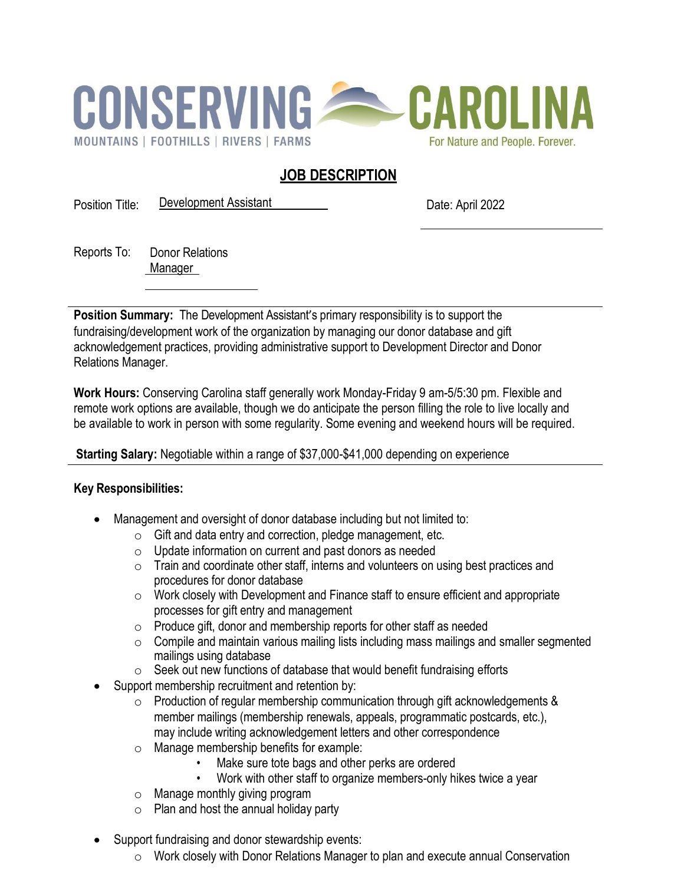

# **JOB DESCRIPTION**

Position Title: Development Assistant Date: April 2022

Reports To: Donor Relations Manager

**Position Summary:** The Development Assistant's primary responsibility is to support the fundraising/development work of the organization by managing our donor database and gift acknowledgement practices, providing administrative support to Development Director and Donor Relations Manager.

**Work Hours:** Conserving Carolina staff generally work Monday-Friday 9 am-5/5:30 pm. Flexible and remote work options are available, though we do anticipate the person filling the role to live locally and be available to work in person with some regularity. Some evening and weekend hours will be required.

## **Starting Salary:** Negotiable within a range of \$37,000-\$41,000 depending on experience

## **Key Responsibilities:**

- Management and oversight of donor database including but not limited to:
	- $\circ$  Gift and data entry and correction, pledge management, etc.
	- o Update information on current and past donors as needed
	- o Train and coordinate other staff, interns and volunteers on using best practices and procedures for donor database
	- $\circ$  Work closely with Development and Finance staff to ensure efficient and appropriate processes for gift entry and management
	- $\circ$  Produce gift, donor and membership reports for other staff as needed
	- $\circ$  Compile and maintain various mailing lists including mass mailings and smaller segmented mailings using database
	- o Seek out new functions of database that would benefit fundraising efforts
- Support membership recruitment and retention by:
	- $\circ$  Production of regular membership communication through gift acknowledgements & member mailings (membership renewals, appeals, programmatic postcards, etc.), may include writing acknowledgement letters and other correspondence
	- o Manage membership benefits for example:
		- Make sure tote bags and other perks are ordered
		- Work with other staff to organize members-only hikes twice a year
	- o Manage monthly giving program
	- $\circ$  Plan and host the annual holiday party
- Support fundraising and donor stewardship events:
	- o Work closely with Donor Relations Manager to plan and execute annual Conservation